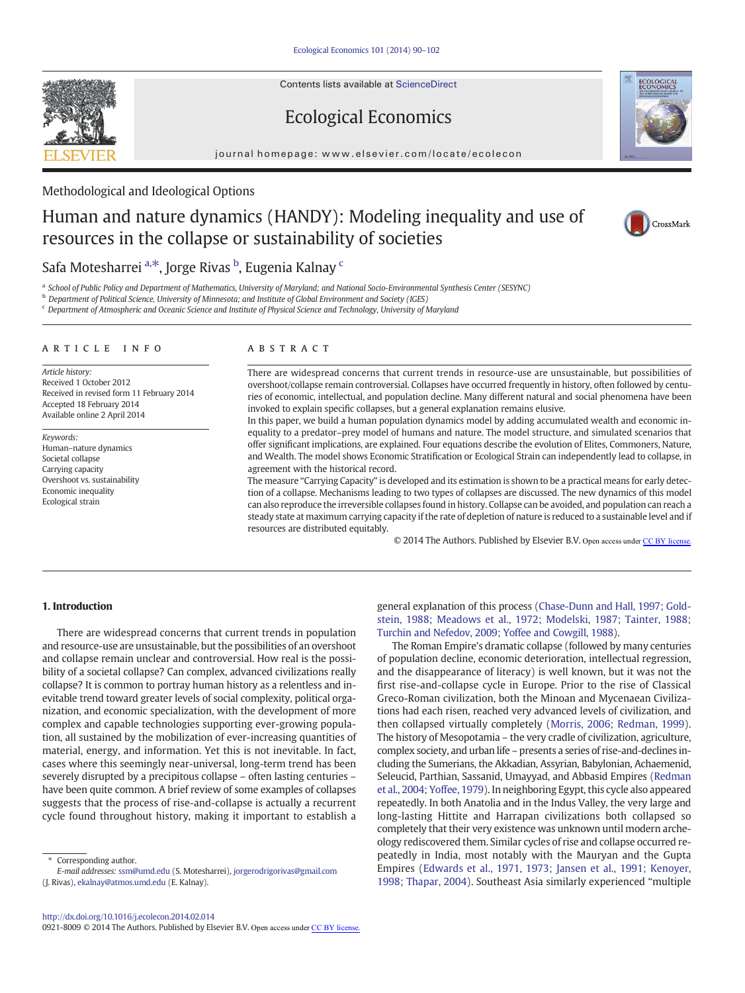Contents lists available at ScienceDirect

# Ecological Economics

journal homepage: www.elsevier.com/locate/ecolecon

# Methodological and Ideological Options

# Human and nature dynamics (HANDY): Modeling inequality and use of resources in the collapse or sustainability of societies



a School of Public Policy and Department of Mathematics, University of Maryland; and National Socio-Environmental Synthesis Center (SESYNC)

**b** Department of Political Science, University of Minnesota; and Institute of Global Environment and Society (IGES)

<sup>c</sup> Department of Atmospheric and Oceanic Science and Institute of Physical Science and Technology, University of Maryland

# article info abstract

Article history: Received 1 October 2012 Received in revised form 11 February 2014 Accepted 18 February 2014 Available online 2 April 2014

Keywords: Human–nature dynamics Societal collapse Carrying capacity Overshoot vs. sustainability Economic inequality Ecological strain

There are widespread concerns that current trends in resource-use are unsustainable, but possibilities of overshoot/collapse remain controversial. Collapses have occurred frequently in history, often followed by centuries of economic, intellectual, and population decline. Many different natural and social phenomena have been invoked to explain specific collapses, but a general explanation remains elusive.

In this paper, we build a human population dynamics model by adding accumulated wealth and economic inequality to a predator–prey model of humans and nature. The model structure, and simulated scenarios that offer significant implications, are explained. Four equations describe the evolution of Elites, Commoners, Nature, and Wealth. The model shows Economic Stratification or Ecological Strain can independently lead to collapse, in agreement with the historical record.

The measure "Carrying Capacity" is developed and its estimation is shown to be a practical means for early detection of a collapse. Mechanisms leading to two types of collapses are discussed. The new dynamics of this model can also reproduce the irreversible collapses found in history. Collapse can be avoided, and population can reach a steady state at maximum carrying capacity if the rate of depletion of nature is reduced to a sustainable level and if resources are distributed equitably.

© 2014 The Authors. Published by Elsevier B.V. Open access under [CC BY license.](http://creativecommons.org/licenses/by/3.0/)

# 1. Introduction

There are widespread concerns that current trends in population and resource-use are unsustainable, but the possibilities of an overshoot and collapse remain unclear and controversial. How real is the possibility of a societal collapse? Can complex, advanced civilizations really collapse? It is common to portray human history as a relentless and inevitable trend toward greater levels of social complexity, political organization, and economic specialization, with the development of more complex and capable technologies supporting ever-growing population, all sustained by the mobilization of ever-increasing quantities of material, energy, and information. Yet this is not inevitable. In fact, cases where this seemingly near-universal, long-term trend has been severely disrupted by a precipitous collapse – often lasting centuries – have been quite common. A brief review of some examples of collapses suggests that the process of rise-and-collapse is actually a recurrent cycle found throughout history, making it important to establish a

⁎ Corresponding author.

general explanation of this process [\(Chase-Dunn and Hall, 1997; Gold](#page-11-0)[stein, 1988; Meadows et al., 1972; Modelski, 1987; Tainter, 1988;](#page-11-0) [Turchin and Nefedov, 2009; Yoffee and Cowgill, 1988](#page-11-0)).

The Roman Empire's dramatic collapse (followed by many centuries of population decline, economic deterioration, intellectual regression, and the disappearance of literacy) is well known, but it was not the first rise-and-collapse cycle in Europe. Prior to the rise of Classical Greco-Roman civilization, both the Minoan and Mycenaean Civilizations had each risen, reached very advanced levels of civilization, and then collapsed virtually completely [\(Morris, 2006; Redman, 1999](#page-12-0)). The history of Mesopotamia – the very cradle of civilization, agriculture, complex society, and urban life – presents a series of rise-and-declines including the Sumerians, the Akkadian, Assyrian, Babylonian, Achaemenid, Seleucid, Parthian, Sassanid, Umayyad, and Abbasid Empires [\(Redman](#page-12-0) [et al., 2004; Yoffee, 1979\)](#page-12-0). In neighboring Egypt, this cycle also appeared repeatedly. In both Anatolia and in the Indus Valley, the very large and long-lasting Hittite and Harrapan civilizations both collapsed so completely that their very existence was unknown until modern archeology rediscovered them. Similar cycles of rise and collapse occurred repeatedly in India, most notably with the Mauryan and the Gupta Empires ([Edwards et al., 1971, 1973; Jansen et al., 1991; Kenoyer,](#page-12-0) [1998; Thapar, 2004](#page-12-0)). Southeast Asia similarly experienced "multiple





E-mail addresses: [ssm@umd.edu](mailto:ssm@umd.edu) (S. Motesharrei), [jorgerodrigorivas@gmail.com](mailto:jorgerodrigorivas@gmail.com) (J. Rivas), [ekalnay@atmos.umd.edu](mailto:ekalnay@atmos.umd.edu) (E. Kalnay).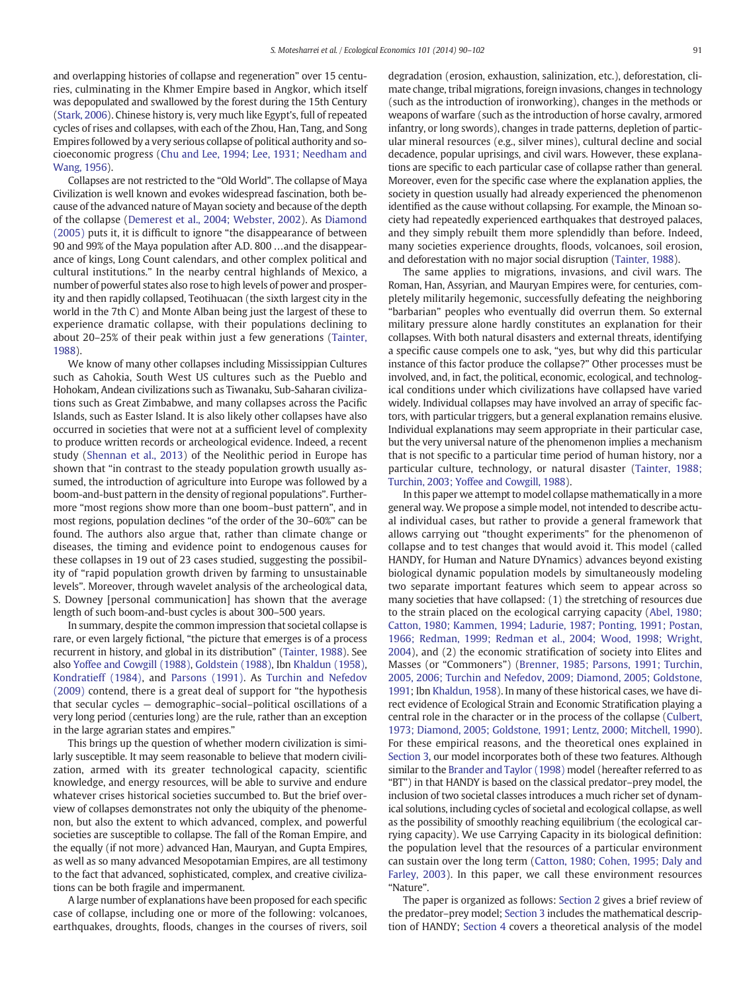and overlapping histories of collapse and regeneration" over 15 centuries, culminating in the Khmer Empire based in Angkor, which itself was depopulated and swallowed by the forest during the 15th Century [\(Stark, 2006\)](#page-12-0). Chinese history is, very much like Egypt's, full of repeated cycles of rises and collapses, with each of the Zhou, Han, Tang, and Song Empires followed by a very serious collapse of political authority and socioeconomic progress ([Chu and Lee, 1994; Lee, 1931; Needham and](#page-11-0) [Wang, 1956](#page-11-0)).

Collapses are not restricted to the "Old World". The collapse of Maya Civilization is well known and evokes widespread fascination, both because of the advanced nature of Mayan society and because of the depth of the collapse ([Demerest et al., 2004; Webster, 2002\)](#page-12-0). As [Diamond](#page-12-0) [\(2005\)](#page-12-0) puts it, it is difficult to ignore "the disappearance of between 90 and 99% of the Maya population after A.D. 800 …and the disappearance of kings, Long Count calendars, and other complex political and cultural institutions." In the nearby central highlands of Mexico, a number of powerful states also rose to high levels of power and prosperity and then rapidly collapsed, Teotihuacan (the sixth largest city in the world in the 7th C) and Monte Alban being just the largest of these to experience dramatic collapse, with their populations declining to about 20–25% of their peak within just a few generations [\(Tainter,](#page-12-0) [1988](#page-12-0)).

We know of many other collapses including Mississippian Cultures such as Cahokia, South West US cultures such as the Pueblo and Hohokam, Andean civilizations such as Tiwanaku, Sub-Saharan civilizations such as Great Zimbabwe, and many collapses across the Pacific Islands, such as Easter Island. It is also likely other collapses have also occurred in societies that were not at a sufficient level of complexity to produce written records or archeological evidence. Indeed, a recent study ([Shennan et al., 2013](#page-12-0)) of the Neolithic period in Europe has shown that "in contrast to the steady population growth usually assumed, the introduction of agriculture into Europe was followed by a boom-and-bust pattern in the density of regional populations". Furthermore "most regions show more than one boom–bust pattern", and in most regions, population declines "of the order of the 30–60%" can be found. The authors also argue that, rather than climate change or diseases, the timing and evidence point to endogenous causes for these collapses in 19 out of 23 cases studied, suggesting the possibility of "rapid population growth driven by farming to unsustainable levels". Moreover, through wavelet analysis of the archeological data, S. Downey [personal communication] has shown that the average length of such boom-and-bust cycles is about 300–500 years.

In summary, despite the common impression that societal collapse is rare, or even largely fictional, "the picture that emerges is of a process recurrent in history, and global in its distribution" ([Tainter, 1988\)](#page-12-0). See also [Yoffee and Cowgill \(1988\)](#page-12-0), [Goldstein \(1988\)](#page-12-0), Ibn [Khaldun \(1958\),](#page-12-0) [Kondratieff \(1984\),](#page-12-0) and [Parsons \(1991\).](#page-12-0) As [Turchin and Nefedov](#page-12-0) [\(2009\)](#page-12-0) contend, there is a great deal of support for "the hypothesis that secular cycles — demographic–social–political oscillations of a very long period (centuries long) are the rule, rather than an exception in the large agrarian states and empires."

This brings up the question of whether modern civilization is similarly susceptible. It may seem reasonable to believe that modern civilization, armed with its greater technological capacity, scientific knowledge, and energy resources, will be able to survive and endure whatever crises historical societies succumbed to. But the brief overview of collapses demonstrates not only the ubiquity of the phenomenon, but also the extent to which advanced, complex, and powerful societies are susceptible to collapse. The fall of the Roman Empire, and the equally (if not more) advanced Han, Mauryan, and Gupta Empires, as well as so many advanced Mesopotamian Empires, are all testimony to the fact that advanced, sophisticated, complex, and creative civilizations can be both fragile and impermanent.

A large number of explanations have been proposed for each specific case of collapse, including one or more of the following: volcanoes, earthquakes, droughts, floods, changes in the courses of rivers, soil degradation (erosion, exhaustion, salinization, etc.), deforestation, climate change, tribal migrations, foreign invasions, changes in technology (such as the introduction of ironworking), changes in the methods or weapons of warfare (such as the introduction of horse cavalry, armored infantry, or long swords), changes in trade patterns, depletion of particular mineral resources (e.g., silver mines), cultural decline and social decadence, popular uprisings, and civil wars. However, these explanations are specific to each particular case of collapse rather than general. Moreover, even for the specific case where the explanation applies, the society in question usually had already experienced the phenomenon identified as the cause without collapsing. For example, the Minoan society had repeatedly experienced earthquakes that destroyed palaces, and they simply rebuilt them more splendidly than before. Indeed, many societies experience droughts, floods, volcanoes, soil erosion, and deforestation with no major social disruption [\(Tainter, 1988\)](#page-12-0).

The same applies to migrations, invasions, and civil wars. The Roman, Han, Assyrian, and Mauryan Empires were, for centuries, completely militarily hegemonic, successfully defeating the neighboring "barbarian" peoples who eventually did overrun them. So external military pressure alone hardly constitutes an explanation for their collapses. With both natural disasters and external threats, identifying a specific cause compels one to ask, "yes, but why did this particular instance of this factor produce the collapse?" Other processes must be involved, and, in fact, the political, economic, ecological, and technological conditions under which civilizations have collapsed have varied widely. Individual collapses may have involved an array of specific factors, with particular triggers, but a general explanation remains elusive. Individual explanations may seem appropriate in their particular case, but the very universal nature of the phenomenon implies a mechanism that is not specific to a particular time period of human history, nor a particular culture, technology, or natural disaster [\(Tainter, 1988;](#page-12-0) [Turchin, 2003; Yoffee and Cowgill, 1988](#page-12-0)).

In this paper we attempt to model collapse mathematically in a more general way. We propose a simple model, not intended to describe actual individual cases, but rather to provide a general framework that allows carrying out "thought experiments" for the phenomenon of collapse and to test changes that would avoid it. This model (called HANDY, for Human and Nature DYnamics) advances beyond existing biological dynamic population models by simultaneously modeling two separate important features which seem to appear across so many societies that have collapsed: (1) the stretching of resources due to the strain placed on the ecological carrying capacity ([Abel, 1980;](#page-11-0) [Catton, 1980; Kammen, 1994; Ladurie, 1987; Ponting, 1991; Postan,](#page-11-0) [1966; Redman, 1999; Redman et al., 2004; Wood, 1998; Wright,](#page-11-0) [2004\)](#page-11-0), and (2) the economic stratification of society into Elites and Masses (or "Commoners") ([Brenner, 1985; Parsons, 1991; Turchin,](#page-11-0) [2005, 2006; Turchin and Nefedov, 2009; Diamond, 2005; Goldstone,](#page-11-0) [1991](#page-11-0); Ibn [Khaldun, 1958](#page-12-0)). In many of these historical cases, we have direct evidence of Ecological Strain and Economic Stratification playing a central role in the character or in the process of the collapse [\(Culbert,](#page-11-0) [1973; Diamond, 2005; Goldstone, 1991; Lentz, 2000; Mitchell, 1990](#page-11-0)). For these empirical reasons, and the theoretical ones explained in [Section 3,](#page-2-0) our model incorporates both of these two features. Although similar to the [Brander and Taylor \(1998\)](#page-11-0) model (hereafter referred to as "BT") in that HANDY is based on the classical predator–prey model, the inclusion of two societal classes introduces a much richer set of dynamical solutions, including cycles of societal and ecological collapse, as well as the possibility of smoothly reaching equilibrium (the ecological carrying capacity). We use Carrying Capacity in its biological definition: the population level that the resources of a particular environment can sustain over the long term ([Catton, 1980; Cohen, 1995; Daly and](#page-11-0) [Farley, 2003\)](#page-11-0). In this paper, we call these environment resources "Nature".

The paper is organized as follows: [Section 2](#page-2-0) gives a brief review of the predator–prey model; [Section 3](#page-2-0) includes the mathematical description of HANDY; [Section 4](#page-4-0) covers a theoretical analysis of the model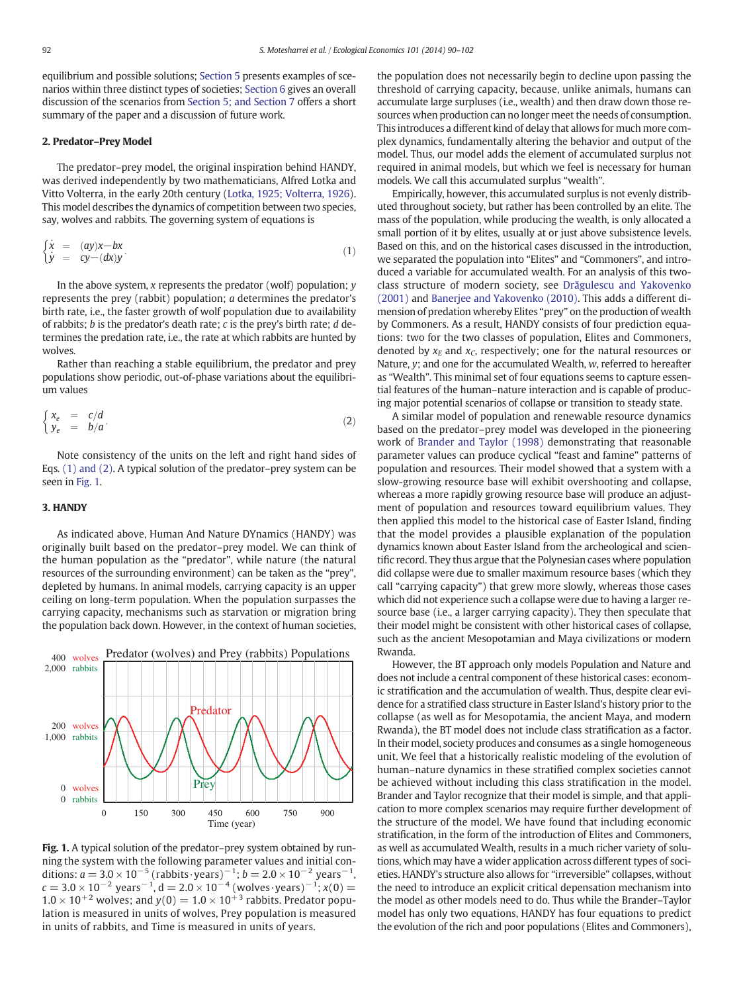<span id="page-2-0"></span>equilibrium and possible solutions; [Section 5](#page-5-0) presents examples of scenarios within three distinct types of societies; [Section 6](#page-9-0) gives an overall discussion of the scenarios from [Section 5; and Section 7](#page-5-0) offers a short summary of the paper and a discussion of future work.

# 2. Predator–Prey Model

The predator–prey model, the original inspiration behind HANDY, was derived independently by two mathematicians, Alfred Lotka and Vitto Volterra, in the early 20th century ([Lotka, 1925; Volterra, 1926](#page-12-0)). This model describes the dynamics of competition between two species, say, wolves and rabbits. The governing system of equations is

$$
\begin{cases}\n\dot{x} = (ay)x - bx \\
\dot{y} = cy - (dx)y\n\end{cases} \tag{1}
$$

In the above system,  $x$  represents the predator (wolf) population;  $y$ represents the prey (rabbit) population; a determines the predator's birth rate, i.e., the faster growth of wolf population due to availability of rabbits; b is the predator's death rate; c is the prey's birth rate; d determines the predation rate, i.e., the rate at which rabbits are hunted by wolves.

Rather than reaching a stable equilibrium, the predator and prey populations show periodic, out-of-phase variations about the equilibrium values

$$
\begin{cases}\n x_e &= c/d \\
 y_e &= b/a\n\end{cases} \tag{2}
$$

Note consistency of the units on the left and right hand sides of Eqs. (1) and (2). A typical solution of the predator–prey system can be seen in Fig. 1.

# 3. HANDY

As indicated above, Human And Nature DYnamics (HANDY) was originally built based on the predator–prey model. We can think of the human population as the "predator", while nature (the natural resources of the surrounding environment) can be taken as the "prey", depleted by humans. In animal models, carrying capacity is an upper ceiling on long-term population. When the population surpasses the carrying capacity, mechanisms such as starvation or migration bring the population back down. However, in the context of human societies,



Fig. 1. A typical solution of the predator–prey system obtained by running the system with the following parameter values and initial conditions:  $a = 3.0 \times 10^{-5}$  (rabbits·years)<sup>-1</sup>;  $b = 2.0 \times 10^{-2}$  years<sup>-1</sup>,  $c = 3.0 \times 10^{-2}$  years $^{-1}$ , d = 2.0  $\times$  10 $^{-4}$  (wolves•years) $^{-1}$ ; x(0) =  $1.0 \times 10^{+2}$  wolves; and  $y(0) = 1.0 \times 10^{+3}$  rabbits. Predator population is measured in units of wolves, Prey population is measured in units of rabbits, and Time is measured in units of years.

the population does not necessarily begin to decline upon passing the threshold of carrying capacity, because, unlike animals, humans can accumulate large surpluses (i.e., wealth) and then draw down those resources when production can no longer meet the needs of consumption. This introduces a different kind of delay that allows for much more complex dynamics, fundamentally altering the behavior and output of the model. Thus, our model adds the element of accumulated surplus not required in animal models, but which we feel is necessary for human models. We call this accumulated surplus "wealth".

Empirically, however, this accumulated surplus is not evenly distributed throughout society, but rather has been controlled by an elite. The mass of the population, while producing the wealth, is only allocated a small portion of it by elites, usually at or just above subsistence levels. Based on this, and on the historical cases discussed in the introduction, we separated the population into "Elites" and "Commoners", and introduced a variable for accumulated wealth. For an analysis of this twoclass structure of modern society, see Dră[gulescu and Yakovenko](#page-12-0) [\(2001\)](#page-12-0) and [Banerjee and Yakovenko \(2010\)](#page-11-0). This adds a different dimension of predation whereby Elites "prey" on the production of wealth by Commoners. As a result, HANDY consists of four prediction equations: two for the two classes of population, Elites and Commoners, denoted by  $x_F$  and  $x_C$ , respectively; one for the natural resources or Nature, y; and one for the accumulated Wealth, w, referred to hereafter as "Wealth". This minimal set of four equations seems to capture essential features of the human–nature interaction and is capable of producing major potential scenarios of collapse or transition to steady state.

A similar model of population and renewable resource dynamics based on the predator–prey model was developed in the pioneering work of [Brander and Taylor \(1998\)](#page-11-0) demonstrating that reasonable parameter values can produce cyclical "feast and famine" patterns of population and resources. Their model showed that a system with a slow-growing resource base will exhibit overshooting and collapse, whereas a more rapidly growing resource base will produce an adjustment of population and resources toward equilibrium values. They then applied this model to the historical case of Easter Island, finding that the model provides a plausible explanation of the population dynamics known about Easter Island from the archeological and scientific record. They thus argue that the Polynesian cases where population did collapse were due to smaller maximum resource bases (which they call "carrying capacity") that grew more slowly, whereas those cases which did not experience such a collapse were due to having a larger resource base (i.e., a larger carrying capacity). They then speculate that their model might be consistent with other historical cases of collapse, such as the ancient Mesopotamian and Maya civilizations or modern Rwanda.

However, the BT approach only models Population and Nature and does not include a central component of these historical cases: economic stratification and the accumulation of wealth. Thus, despite clear evidence for a stratified class structure in Easter Island's history prior to the collapse (as well as for Mesopotamia, the ancient Maya, and modern Rwanda), the BT model does not include class stratification as a factor. In their model, society produces and consumes as a single homogeneous unit. We feel that a historically realistic modeling of the evolution of human–nature dynamics in these stratified complex societies cannot be achieved without including this class stratification in the model. Brander and Taylor recognize that their model is simple, and that application to more complex scenarios may require further development of the structure of the model. We have found that including economic stratification, in the form of the introduction of Elites and Commoners, as well as accumulated Wealth, results in a much richer variety of solutions, which may have a wider application across different types of societies. HANDY's structure also allows for "irreversible" collapses, without the need to introduce an explicit critical depensation mechanism into the model as other models need to do. Thus while the Brander–Taylor model has only two equations, HANDY has four equations to predict the evolution of the rich and poor populations (Elites and Commoners),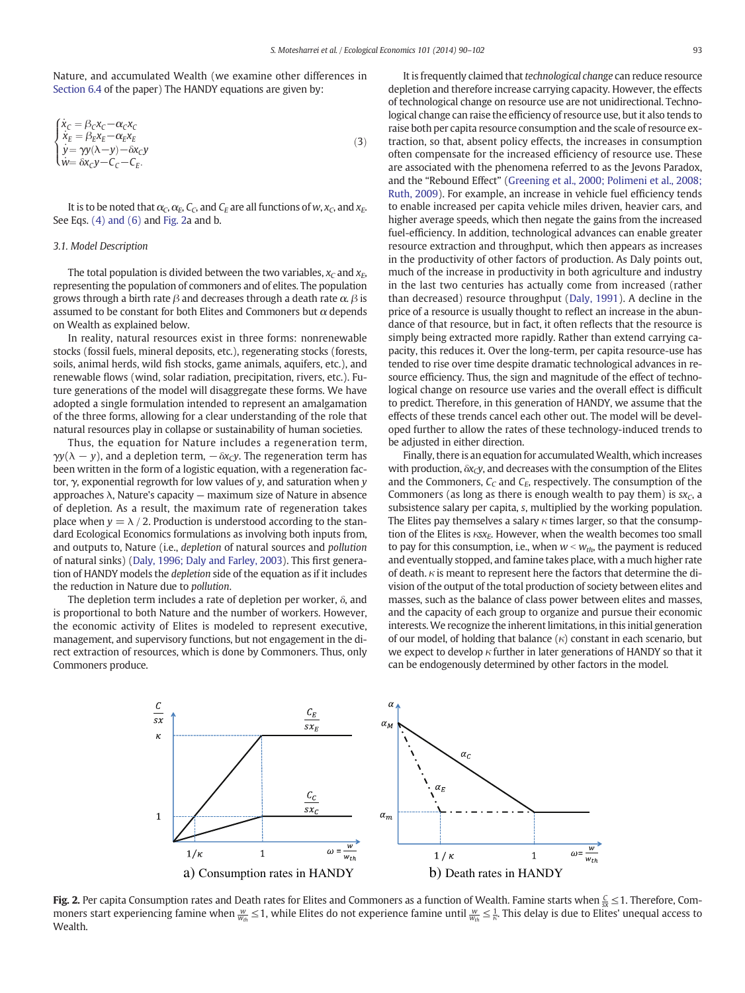<span id="page-3-0"></span>Nature, and accumulated Wealth (we examine other differences in [Section 6.4](#page-10-0) of the paper) The HANDY equations are given by:

$$
\begin{cases}\n\dot{x}_C = \beta_C x_C - \alpha_C x_C \\
\dot{x}_E = \beta_E x_E - \alpha_E x_E \\
\dot{y} = \gamma y(\lambda - y) - \delta x_C y \\
\dot{w} = \delta x_C y - C_C - C_E.\n\end{cases} (3)
$$

It is to be noted that  $\alpha_C$ ,  $\alpha_E$ ,  $C_C$ , and  $C_E$  are all functions of w,  $\alpha_C$ , and  $\alpha_E$ . See Eqs. [\(4\) and \(6\)](#page-4-0) and Fig. 2a and b.

# 3.1. Model Description

The total population is divided between the two variables,  $x_C$  and  $x_E$ , representing the population of commoners and of elites. The population grows through a birth rate  $\beta$  and decreases through a death rate  $\alpha$ .  $\beta$  is assumed to be constant for both Elites and Commoners but  $\alpha$  depends on Wealth as explained below.

In reality, natural resources exist in three forms: nonrenewable stocks (fossil fuels, mineral deposits, etc.), regenerating stocks (forests, soils, animal herds, wild fish stocks, game animals, aquifers, etc.), and renewable flows (wind, solar radiation, precipitation, rivers, etc.). Future generations of the model will disaggregate these forms. We have adopted a single formulation intended to represent an amalgamation of the three forms, allowing for a clear understanding of the role that natural resources play in collapse or sustainability of human societies.

Thus, the equation for Nature includes a regeneration term,  $\gamma y(\lambda - y)$ , and a depletion term,  $-\delta x_c y$ . The regeneration term has been written in the form of a logistic equation, with a regeneration factor, γ, exponential regrowth for low values of y, and saturation when y approaches  $\lambda$ , Nature's capacity — maximum size of Nature in absence of depletion. As a result, the maximum rate of regeneration takes place when  $y = \lambda / 2$ . Production is understood according to the standard Ecological Economics formulations as involving both inputs from, and outputs to, Nature (i.e., depletion of natural sources and pollution of natural sinks) [\(Daly, 1996; Daly and Farley, 2003\)](#page-11-0). This first generation of HANDY models the depletion side of the equation as if it includes the reduction in Nature due to pollution.

The depletion term includes a rate of depletion per worker,  $\delta$ , and is proportional to both Nature and the number of workers. However, the economic activity of Elites is modeled to represent executive, management, and supervisory functions, but not engagement in the direct extraction of resources, which is done by Commoners. Thus, only Commoners produce.

It is frequently claimed that technological change can reduce resource depletion and therefore increase carrying capacity. However, the effects of technological change on resource use are not unidirectional. Technological change can raise the efficiency of resource use, but it also tends to raise both per capita resource consumption and the scale of resource extraction, so that, absent policy effects, the increases in consumption often compensate for the increased efficiency of resource use. These are associated with the phenomena referred to as the Jevons Paradox, and the "Rebound Effect" ([Greening et al., 2000; Polimeni et al., 2008;](#page-12-0) [Ruth, 2009](#page-12-0)). For example, an increase in vehicle fuel efficiency tends to enable increased per capita vehicle miles driven, heavier cars, and higher average speeds, which then negate the gains from the increased fuel-efficiency. In addition, technological advances can enable greater resource extraction and throughput, which then appears as increases in the productivity of other factors of production. As Daly points out, much of the increase in productivity in both agriculture and industry in the last two centuries has actually come from increased (rather than decreased) resource throughput [\(Daly, 1991\)](#page-11-0). A decline in the price of a resource is usually thought to reflect an increase in the abundance of that resource, but in fact, it often reflects that the resource is simply being extracted more rapidly. Rather than extend carrying capacity, this reduces it. Over the long-term, per capita resource-use has tended to rise over time despite dramatic technological advances in resource efficiency. Thus, the sign and magnitude of the effect of technological change on resource use varies and the overall effect is difficult to predict. Therefore, in this generation of HANDY, we assume that the effects of these trends cancel each other out. The model will be developed further to allow the rates of these technology-induced trends to be adjusted in either direction.

Finally, there is an equation for accumulated Wealth, which increases with production,  $\delta x_C y$ , and decreases with the consumption of the Elites and the Commoners,  $C_c$  and  $C_F$ , respectively. The consumption of the Commoners (as long as there is enough wealth to pay them) is  $sx<sub>C</sub>$ , a subsistence salary per capita, s, multiplied by the working population. The Elites pay themselves a salary  $\kappa$  times larger, so that the consumption of the Elites is  $\kappa s x_E$ . However, when the wealth becomes too small to pay for this consumption, i.e., when  $w < w_{th}$ , the payment is reduced and eventually stopped, and famine takes place, with a much higher rate of death.  $\kappa$  is meant to represent here the factors that determine the division of the output of the total production of society between elites and masses, such as the balance of class power between elites and masses, and the capacity of each group to organize and pursue their economic interests. We recognize the inherent limitations, in this initial generation of our model, of holding that balance  $(k)$  constant in each scenario, but we expect to develop  $\kappa$  further in later generations of HANDY so that it can be endogenously determined by other factors in the model.



**Fig. 2.** Per capita Consumption rates and Death rates for Elites and Commoners as a function of Wealth. Famine starts when  $\frac{C}{sx}$   $\leq$  1. Therefore, Commoners start experiencing famine when  $\frac{w}{w_{th}} \leq 1$ , while Elites do not experience famine until  $\frac{w}{w_{th}} \leq \frac{1}{\kappa}$ . This delay is due to Elites' unequal access to Wealth.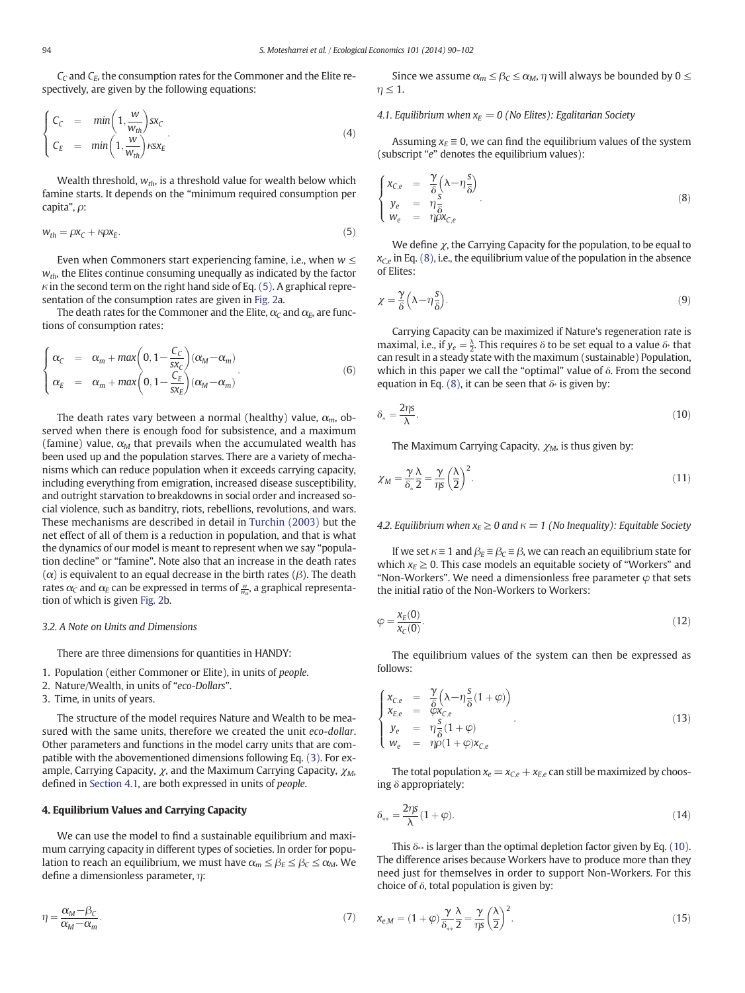<span id="page-4-0"></span> $C_C$  and  $C_E$ , the consumption rates for the Commoner and the Elite respectively, are given by the following equations:

$$
\begin{cases}\nC_C = \min\left(1, \frac{w}{w_{th}}\right) sx_C \\
C_E = \min\left(1, \frac{w}{w_{th}}\right) \kappa s x_E\n\end{cases} \tag{4}
$$

Wealth threshold,  $w_{th}$ , is a threshold value for wealth below which famine starts. It depends on the "minimum required consumption per capita", ρ:

$$
w_{th} = \rho x_C + \kappa \rho x_E. \tag{5}
$$

Even when Commoners start experiencing famine, i.e., when  $w \leq$  $w<sub>th</sub>$ , the Elites continue consuming unequally as indicated by the factor  $\kappa$  in the second term on the right hand side of Eq. (5). A graphical representation of the consumption rates are given in [Fig. 2](#page-3-0)a.

The death rates for the Commoner and the Elite,  $\alpha_c$  and  $\alpha_F$ , are functions of consumption rates:

$$
\begin{cases}\n\alpha_C = \alpha_m + \max\left(0, 1 - \frac{C_C}{sx_C}\right)(\alpha_M - \alpha_m) \\
\alpha_E = \alpha_m + \max\left(0, 1 - \frac{C_E}{sx_E}\right)(\alpha_M - \alpha_m)\n\end{cases} \tag{6}
$$

The death rates vary between a normal (healthy) value,  $\alpha_m$ , observed when there is enough food for subsistence, and a maximum (famine) value,  $\alpha_M$  that prevails when the accumulated wealth has been used up and the population starves. There are a variety of mechanisms which can reduce population when it exceeds carrying capacity, including everything from emigration, increased disease susceptibility, and outright starvation to breakdowns in social order and increased social violence, such as banditry, riots, rebellions, revolutions, and wars. These mechanisms are described in detail in [Turchin \(2003\)](#page-12-0) but the net effect of all of them is a reduction in population, and that is what the dynamics of our model is meant to represent when we say "population decline" or "famine". Note also that an increase in the death rates ( $α$ ) is equivalent to an equal decrease in the birth rates ( $β$ ). The death rates  $\alpha_{\mathcal{C}}$  and  $\alpha_{\mathcal{E}}$  can be expressed in terms of  $\frac{w}{w_{\mathit{in}}},$  a graphical representation of which is given [Fig. 2b](#page-3-0).

#### 3.2. A Note on Units and Dimensions

There are three dimensions for quantities in HANDY:

- 1. Population (either Commoner or Elite), in units of people.
- 2. Nature/Wealth, in units of "eco-Dollars".
- 3. Time, in units of years.

The structure of the model requires Nature and Wealth to be measured with the same units, therefore we created the unit eco-dollar. Other parameters and functions in the model carry units that are compatible with the abovementioned dimensions following Eq. [\(3\)](#page-3-0). For example, Carrying Capacity,  $\chi$ , and the Maximum Carrying Capacity,  $\chi_M$ , defined in Section 4.1, are both expressed in units of people.

# 4. Equilibrium Values and Carrying Capacity

We can use the model to find a sustainable equilibrium and maximum carrying capacity in different types of societies. In order for population to reach an equilibrium, we must have  $\alpha_m \leq \beta_E \leq \beta_C \leq \alpha_M$ . We define a dimensionless parameter,  $\eta$ :

$$
\eta = \frac{\alpha_M - \beta_C}{\alpha_M - \alpha_m}.\tag{7}
$$

Since we assume  $\alpha_m \leq \beta_c \leq \alpha_M$ ,  $\eta$  will always be bounded by  $0 \leq$  $\eta \leq 1$ .

4.1. Equilibrium when  $x_F = 0$  (No Elites): Egalitarian Society

Assuming  $x_E \equiv 0$ , we can find the equilibrium values of the system (subscript "e" denotes the equilibrium values):

$$
\begin{cases}\n x_{C,e} &= \frac{\gamma}{\delta} \left( \lambda - \eta \frac{s}{\delta} \right) \\
 y_e &= \eta \frac{s}{\delta} \\
 w_e &= \eta \rho x_{C,e}\n\end{cases} (8)
$$

We define  $\chi$ , the Carrying Capacity for the population, to be equal to  $x_{Ce}$  in Eq. (8), i.e., the equilibrium value of the population in the absence of Elites:

$$
\chi = \frac{\gamma}{\delta} \left( \lambda - \eta \frac{s}{\delta} \right). \tag{9}
$$

Carrying Capacity can be maximized if Nature's regeneration rate is maximal, i.e., if  $y_e = \frac{\lambda}{2}$ . This requires  $\delta$  to be set equal to a value  $\delta$  that can result in a steady state with the maximum (sustainable) Population, which in this paper we call the "optimal" value of  $\delta$ . From the second equation in Eq. (8), it can be seen that  $\delta_{*}$  is given by:

$$
\delta_* = \frac{2\eta s}{\lambda}.\tag{10}
$$

The Maximum Carrying Capacity,  $\chi_M$ , is thus given by:

$$
\chi_M = \frac{\gamma}{\delta_*} \frac{\lambda}{2} = \frac{\gamma}{\eta s} \left(\frac{\lambda}{2}\right)^2.
$$
\n(11)

# 4.2. Equilibrium when  $x_E \geq 0$  and  $\kappa = 1$  (No Inequality): Equitable Society

If we set  $\kappa \equiv 1$  and  $\beta_E \equiv \beta_C \equiv \beta$ , we can reach an equilibrium state for which  $x_E \geq 0$ . This case models an equitable society of "Workers" and "Non-Workers". We need a dimensionless free parameter  $\varphi$  that sets the initial ratio of the Non-Workers to Workers:

$$
\varphi = \frac{x_E(0)}{x_C(0)}.\tag{12}
$$

The equilibrium values of the system can then be expressed as follows:

$$
\begin{cases}\n x_{C,e} &= \frac{\gamma}{\delta} \left( \lambda - \eta \frac{s}{\delta} (1 + \varphi) \right) \\
 x_{E,e} &= \varphi x_{C,e} \\
 y_e &= \eta \frac{s}{\delta} (1 + \varphi) \\
 w_e &= \eta \rho (1 + \varphi) x_{C,e}\n\end{cases} (13)
$$

The total population  $x_e = x_{Ce} + x_{E,e}$  can still be maximized by choosing  $\delta$  appropriately:

$$
\delta_{**} = \frac{2\eta \mathsf{S}}{\lambda} (1 + \varphi). \tag{14}
$$

This  $\delta_{**}$  is larger than the optimal depletion factor given by Eq. (10). The difference arises because Workers have to produce more than they need just for themselves in order to support Non-Workers. For this choice of  $\delta$ , total population is given by:

$$
x_{e,M} = (1+\varphi)\frac{\gamma}{\delta_{**}}\frac{\lambda}{2} = \frac{\gamma}{\eta s} \left(\frac{\lambda}{2}\right)^2.
$$
 (15)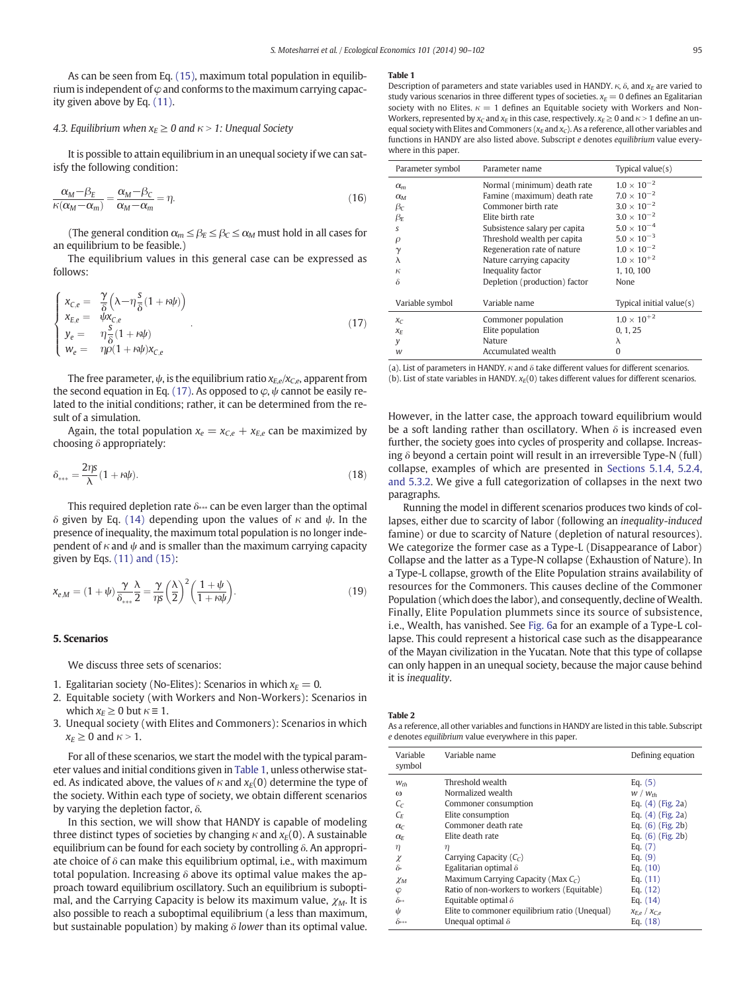<span id="page-5-0"></span>As can be seen from Eq. [\(15\),](#page-4-0) maximum total population in equilibrium is independent of  $\varphi$  and conforms to the maximum carrying capacity given above by Eq. [\(11\).](#page-4-0)

#### 4.3. Equilibrium when  $x_F \geq 0$  and  $\kappa > 1$ : Unequal Society

It is possible to attain equilibrium in an unequal society if we can satisfy the following condition:

$$
\frac{\alpha_M - \beta_E}{\kappa(\alpha_M - \alpha_m)} = \frac{\alpha_M - \beta_C}{\alpha_M - \alpha_m} = \eta.
$$
\n(16)

(The general condition  $\alpha_m \leq \beta_E \leq \beta_C \leq \alpha_M$  must hold in all cases for an equilibrium to be feasible.)

The equilibrium values in this general case can be expressed as follows:

$$
\begin{cases}\n x_{C,e} = \frac{\gamma}{\delta} \left( \lambda - \eta \frac{s}{\delta} (1 + \kappa \psi) \right) \\
 x_{E,e} = \psi x_{C,e} \\
 y_e = \eta \frac{s}{\delta} (1 + \kappa \psi) \\
 w_e = \eta \rho (1 + \kappa \psi) x_{C,e}\n\end{cases} (17)
$$

The free parameter,  $\psi$ , is the equilibrium ratio  $x_{E,e}/x_{C,e}$ , apparent from the second equation in Eq. (17). As opposed to  $\varphi$ ,  $\psi$  cannot be easily related to the initial conditions; rather, it can be determined from the result of a simulation.

Again, the total population  $x_e = x_{Ce} + x_{E,e}$  can be maximized by choosing  $\delta$  appropriately:

$$
\delta_{***} = \frac{2\eta \mathsf{s}}{\lambda} (1 + \kappa \psi). \tag{18}
$$

This required depletion rate  $\delta_{***}$  can be even larger than the optimal δ given by Eq. [\(14\)](#page-4-0) depending upon the values of κ and ψ. In the presence of inequality, the maximum total population is no longer independent of  $\kappa$  and  $\psi$  and is smaller than the maximum carrying capacity given by Eqs.  $(11)$  and  $(15)$ :

$$
x_{e,M} = (1 + \psi) \frac{\gamma}{\delta_{***}} \frac{\lambda}{2} = \frac{\gamma}{\eta s} \left(\frac{\lambda}{2}\right)^2 \left(\frac{1 + \psi}{1 + \kappa \psi}\right).
$$
 (19)

# 5. Scenarios

We discuss three sets of scenarios:

- 1. Egalitarian society (No-Elites): Scenarios in which  $x_E = 0$ .
- 2. Equitable society (with Workers and Non-Workers): Scenarios in which  $x_E \geq 0$  but  $\kappa \equiv 1$ .
- 3. Unequal society (with Elites and Commoners): Scenarios in which  $x_F \geq 0$  and  $\kappa > 1$ .

For all of these scenarios, we start the model with the typical parameter values and initial conditions given in Table 1, unless otherwise stated. As indicated above, the values of  $\kappa$  and  $x_E(0)$  determine the type of the society. Within each type of society, we obtain different scenarios by varying the depletion factor,  $\delta$ .

In this section, we will show that HANDY is capable of modeling three distinct types of societies by changing  $\kappa$  and  $x_E(0)$ . A sustainable equilibrium can be found for each society by controlling  $\delta$ . An appropriate choice of  $\delta$  can make this equilibrium optimal, i.e., with maximum total population. Increasing  $\delta$  above its optimal value makes the approach toward equilibrium oscillatory. Such an equilibrium is suboptimal, and the Carrying Capacity is below its maximum value,  $\chi_M$ . It is also possible to reach a suboptimal equilibrium (a less than maximum, but sustainable population) by making  $\delta$  lower than its optimal value.

#### Table 1

Description of parameters and state variables used in HANDY.  $\kappa$ ,  $\delta$ , and  $x_E$  are varied to study various scenarios in three different types of societies.  $x_E = 0$  defines an Egalitarian society with no Elites.  $\kappa = 1$  defines an Equitable society with Workers and Non-Workers, represented by  $x_C$  and  $x_E$  in this case, respectively.  $x_E \ge 0$  and  $\kappa > 1$  define an unequal society with Elites and Commoners ( $x_F$  and  $x_C$ ). As a reference, all other variables and functions in HANDY are also listed above. Subscript e denotes equilibrium value everywhere in this paper.

| Parameter symbol  | Parameter name                | Typical value(s)         |
|-------------------|-------------------------------|--------------------------|
| $\alpha_m$        | Normal (minimum) death rate   | $1.0 \times 10^{-2}$     |
| $\alpha_M$        | Famine (maximum) death rate   | $7.0 \times 10^{-2}$     |
| $\beta_C$         | Commoner birth rate           | $3.0 \times 10^{-2}$     |
| $\beta_F$         | Elite birth rate              | $3.0 \times 10^{-2}$     |
| S                 | Subsistence salary per capita | $5.0 \times 10^{-4}$     |
| ρ                 | Threshold wealth per capita   | $5.0 \times 10^{-3}$     |
| $\gamma$          | Regeneration rate of nature   | $1.0 \times 10^{-2}$     |
| λ                 | Nature carrying capacity      | $1.0 \times 10^{+2}$     |
| $\kappa$          | Inequality factor             | 1, 10, 100               |
| δ                 | Depletion (production) factor | None                     |
| Variable symbol   | Variable name                 | Typical initial value(s) |
| $X_{\mathcal{C}}$ | Commoner population           | $1.0 \times 10^{+2}$     |
| $X_F$             | Elite population              | 0, 1, 25                 |
| у                 | Nature                        | λ                        |
| w                 | Accumulated wealth            | $\Omega$                 |

(a). List of parameters in HANDY.  $\kappa$  and  $\delta$  take different values for different scenarios. (b). List of state variables in HANDY,  $x_F(0)$  takes different values for different scenarios.

However, in the latter case, the approach toward equilibrium would be a soft landing rather than oscillatory. When  $\delta$  is increased even further, the society goes into cycles of prosperity and collapse. Increasing  $\delta$  beyond a certain point will result in an irreversible Type-N (full) collapse, examples of which are presented in [Sections 5.1.4, 5.2.4,](#page-7-0) [and 5.3.2](#page-7-0). We give a full categorization of collapses in the next two paragraphs.

Running the model in different scenarios produces two kinds of collapses, either due to scarcity of labor (following an inequality-induced famine) or due to scarcity of Nature (depletion of natural resources). We categorize the former case as a Type-L (Disappearance of Labor) Collapse and the latter as a Type-N collapse (Exhaustion of Nature). In a Type-L collapse, growth of the Elite Population strains availability of resources for the Commoners. This causes decline of the Commoner Population (which does the labor), and consequently, decline of Wealth. Finally, Elite Population plummets since its source of subsistence, i.e., Wealth, has vanished. See [Fig. 6a](#page-8-0) for an example of a Type-L collapse. This could represent a historical case such as the disappearance of the Mayan civilization in the Yucatan. Note that this type of collapse can only happen in an unequal society, because the major cause behind it is inequality.

Table 2

As a reference, all other variables and functions in HANDY are listed in this table. Subscript e denotes equilibrium value everywhere in this paper.

| Variable<br>symbol | Variable name                                 | Defining equation    |
|--------------------|-----------------------------------------------|----------------------|
| $W_{th}$           | Threshold wealth                              | Eq. $(5)$            |
| $\omega$           | Normalized wealth                             | $W / W_{th}$         |
| $C_{\mathcal{C}}$  | Commoner consumption                          | Eq. $(4)$ (Fig. 2a)  |
| $C_F$              | Elite consumption                             | Eq. $(4)$ (Fig. 2a)  |
| $\alpha_c$         | Commoner death rate                           | Eq. $(6)$ (Fig. 2b)  |
| $\alpha_F$         | Elite death rate                              | Eq. $(6)$ (Fig. 2b)  |
| $\eta$             | η                                             | Eq. $(7)$            |
| $\chi$             | Carrying Capacity $(C_C)$                     | Eq. $(9)$            |
| $\delta$           | Egalitarian optimal $\delta$                  | Eq. $(10)$           |
| $\chi_M$           | Maximum Carrying Capacity (Max $C_c$ )        | Eq. $(11)$           |
| φ                  | Ratio of non-workers to workers (Equitable)   | Eq. $(12)$           |
| $\delta$ .         | Equitable optimal $\delta$                    | Eq. $(14)$           |
| ψ                  | Elite to commoner equilibrium ratio (Unequal) | $X_{E,e}$ / $X_{Ce}$ |
| $\delta$           | Unequal optimal $\delta$                      | Eq. $(18)$           |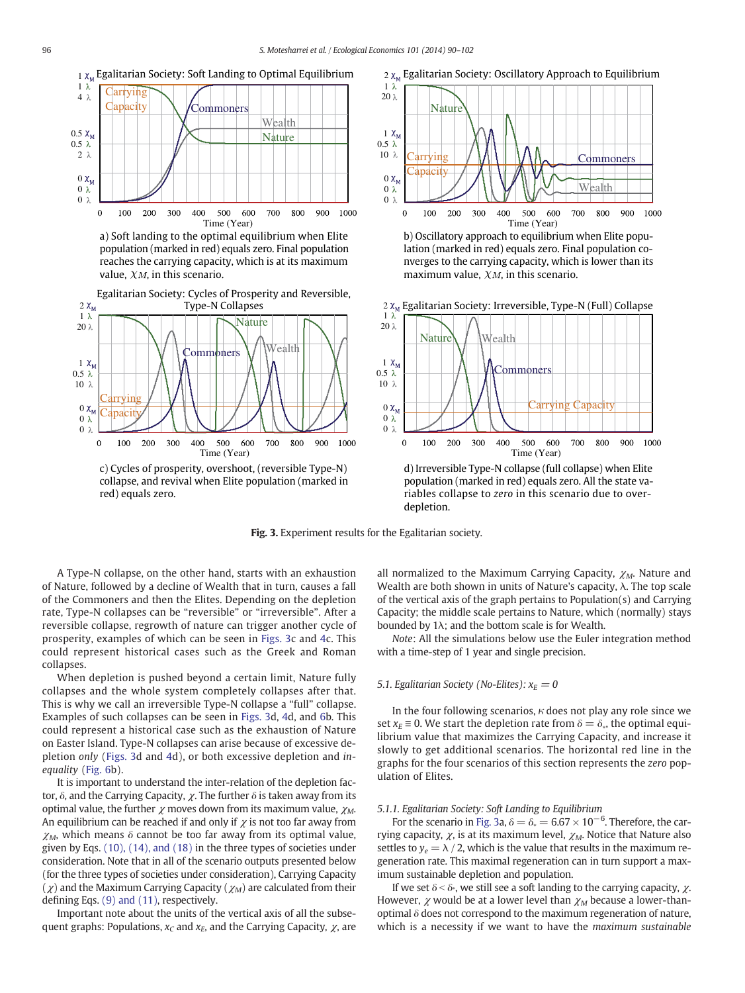<span id="page-6-0"></span>

Fig. 3. Experiment results for the Egalitarian society.

A Type-N collapse, on the other hand, starts with an exhaustion of Nature, followed by a decline of Wealth that in turn, causes a fall of the Commoners and then the Elites. Depending on the depletion rate, Type-N collapses can be "reversible" or "irreversible". After a reversible collapse, regrowth of nature can trigger another cycle of prosperity, examples of which can be seen in Figs. 3c and [4c](#page-7-0). This could represent historical cases such as the Greek and Roman collapses.

When depletion is pushed beyond a certain limit, Nature fully collapses and the whole system completely collapses after that. This is why we call an irreversible Type-N collapse a "full" collapse. Examples of such collapses can be seen in Figs. 3d, [4](#page-7-0)d, and [6b](#page-8-0). This could represent a historical case such as the exhaustion of Nature on Easter Island. Type-N collapses can arise because of excessive depletion only (Figs. 3d and [4d](#page-7-0)), or both excessive depletion and inequality ([Fig. 6b](#page-8-0)).

It is important to understand the inter-relation of the depletion factor,  $\delta$ , and the Carrying Capacity,  $\chi$ . The further  $\delta$  is taken away from its optimal value, the further  $\chi$  moves down from its maximum value,  $\chi_M$ . An equilibrium can be reached if and only if  $\chi$  is not too far away from  $\chi_M$ , which means  $\delta$  cannot be too far away from its optimal value, given by Eqs. [\(10\), \(14\), and \(18\)](#page-4-0) in the three types of societies under consideration. Note that in all of the scenario outputs presented below (for the three types of societies under consideration), Carrying Capacity  $(\chi)$  and the Maximum Carrying Capacity ( $\chi_M$ ) are calculated from their defining Eqs. [\(9\) and \(11\),](#page-4-0) respectively.

Important note about the units of the vertical axis of all the subsequent graphs: Populations,  $x_c$  and  $x_E$ , and the Carrying Capacity,  $\chi$ , are all normalized to the Maximum Carrying Capacity,  $\chi_M$ . Nature and Wealth are both shown in units of Nature's capacity, λ. The top scale of the vertical axis of the graph pertains to Population(s) and Carrying Capacity; the middle scale pertains to Nature, which (normally) stays bounded by  $1\lambda$ ; and the bottom scale is for Wealth.

Note: All the simulations below use the Euler integration method with a time-step of 1 year and single precision.

# 5.1. Egalitarian Society (No-Elites):  $x_E = 0$

In the four following scenarios,  $\kappa$  does not play any role since we set  $x_E \equiv 0$ . We start the depletion rate from  $\delta = \delta_{**}$  the optimal equilibrium value that maximizes the Carrying Capacity, and increase it slowly to get additional scenarios. The horizontal red line in the graphs for the four scenarios of this section represents the zero population of Elites.

# 5.1.1. Egalitarian Society: Soft Landing to Equilibrium

For the scenario in Fig. 3a,  $\delta = \delta_{*} = 6.67 \times 10^{-6}$ . Therefore, the carrying capacity,  $\chi$ , is at its maximum level,  $\chi_M$ . Notice that Nature also settles to  $y_e = \lambda / 2$ , which is the value that results in the maximum regeneration rate. This maximal regeneration can in turn support a maximum sustainable depletion and population.

If we set  $\delta < \delta$ \*, we still see a soft landing to the carrying capacity,  $\chi$ . However,  $\chi$  would be at a lower level than  $\chi_M$  because a lower-thanoptimal  $\delta$  does not correspond to the maximum regeneration of nature, which is a necessity if we want to have the maximum sustainable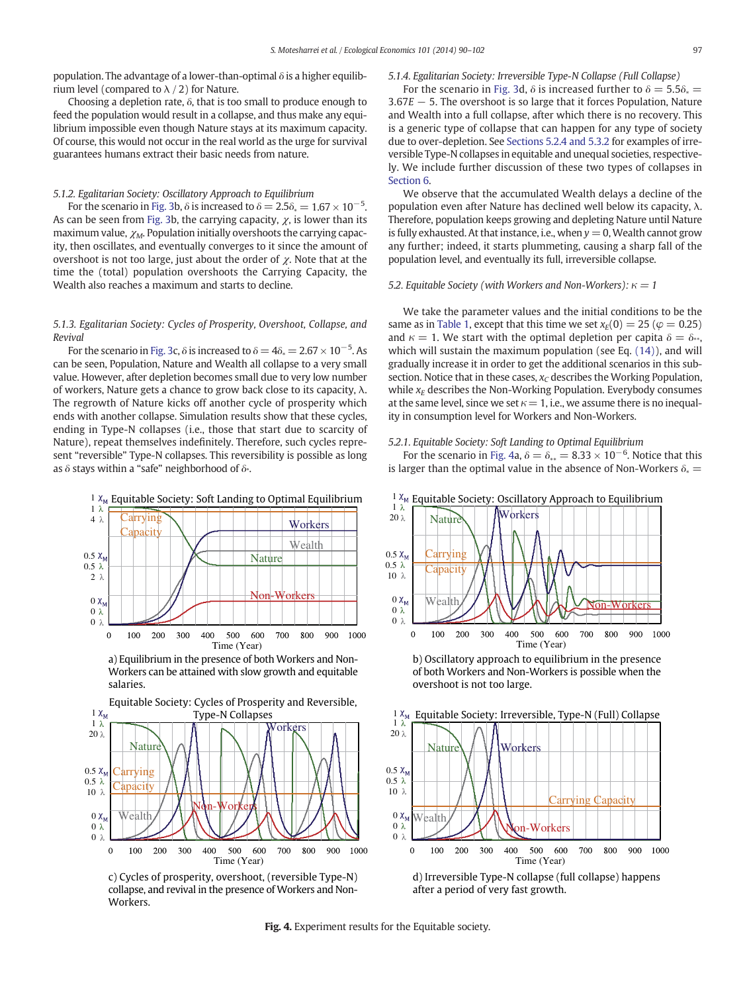<span id="page-7-0"></span>population. The advantage of a lower-than-optimal  $\delta$  is a higher equilibrium level (compared to  $\lambda$  / 2) for Nature.

Choosing a depletion rate,  $\delta$ , that is too small to produce enough to feed the population would result in a collapse, and thus make any equilibrium impossible even though Nature stays at its maximum capacity. Of course, this would not occur in the real world as the urge for survival guarantees humans extract their basic needs from nature.

#### 5.1.2. Egalitarian Society: Oscillatory Approach to Equilibrium

For the scenario in [Fig. 3](#page-6-0)b,  $\delta$  is increased to  $\delta = 2.5\delta_{*} = 1.67 \times 10^{-5}$ . As can be seen from [Fig. 3b](#page-6-0), the carrying capacity,  $\chi$ , is lower than its maximum value,  $\chi_M$ . Population initially overshoots the carrying capacity, then oscillates, and eventually converges to it since the amount of overshoot is not too large, just about the order of  $\chi$ . Note that at the time the (total) population overshoots the Carrying Capacity, the Wealth also reaches a maximum and starts to decline.

# 5.1.3. Egalitarian Society: Cycles of Prosperity, Overshoot, Collapse, and Revival

For the scenario in [Fig. 3](#page-6-0)c,  $\delta$  is increased to  $\delta = 4\delta_{*} = 2.67 \times 10^{-5}$ . As can be seen, Population, Nature and Wealth all collapse to a very small value. However, after depletion becomes small due to very low number of workers, Nature gets a chance to grow back close to its capacity,  $\lambda$ . The regrowth of Nature kicks off another cycle of prosperity which ends with another collapse. Simulation results show that these cycles, ending in Type-N collapses (i.e., those that start due to scarcity of Nature), repeat themselves indefinitely. Therefore, such cycles represent "reversible" Type-N collapses. This reversibility is possible as long as  $\delta$  stays within a "safe" neighborhood of  $\delta$ \*.



a) Equilibrium in the presence of both Workers and Non-Workers can be attained with slow growth and equitable salaries.



c) Cycles of prosperity, overshoot, (reversible Type-N) collapse, and revival in the presence of Workers and Non-Workers.

# 5.1.4. Egalitarian Society: Irreversible Type-N Collapse (Full Collapse)

For the scenario in [Fig. 3](#page-6-0)d,  $\delta$  is increased further to  $\delta = 5.5\delta_* =$ 3.67E − 5. The overshoot is so large that it forces Population, Nature and Wealth into a full collapse, after which there is no recovery. This is a generic type of collapse that can happen for any type of society due to over-depletion. See [Sections 5.2.4 and 5.3.2](#page-8-0) for examples of irreversible Type-N collapses in equitable and unequal societies, respectively. We include further discussion of these two types of collapses in [Section 6.](#page-9-0)

We observe that the accumulated Wealth delays a decline of the population even after Nature has declined well below its capacity, λ. Therefore, population keeps growing and depleting Nature until Nature is fully exhausted. At that instance, i.e., when  $y = 0$ , Wealth cannot grow any further; indeed, it starts plummeting, causing a sharp fall of the population level, and eventually its full, irreversible collapse.

# 5.2. Equitable Society (with Workers and Non-Workers):  $\kappa = 1$

We take the parameter values and the initial conditions to be the same as in [Table 1](#page-5-0), except that this time we set  $x_F(0) = 25 (\varphi = 0.25)$ and  $\kappa = 1$ . We start with the optimal depletion per capita  $\delta = \delta_{**}$ , which will sustain the maximum population (see Eq. [\(14\)\)](#page-4-0), and will gradually increase it in order to get the additional scenarios in this subsection. Notice that in these cases,  $x_C$  describes the Working Population, while  $x_F$  describes the Non-Working Population. Everybody consumes at the same level, since we set  $\kappa = 1$ , i.e., we assume there is no inequality in consumption level for Workers and Non-Workers.

# 5.2.1. Equitable Society: Soft Landing to Optimal Equilibrium

For the scenario in Fig. 4a,  $\delta = \delta_{**} = 8.33 \times 10^{-6}$ . Notice that this is larger than the optimal value in the absence of Non-Workers  $\delta_*$  =



b) Oscillatory approach to equilibrium in the presence of both Workers and Non-Workers is possible when the overshoot is not too large.





Fig. 4. Experiment results for the Equitable society.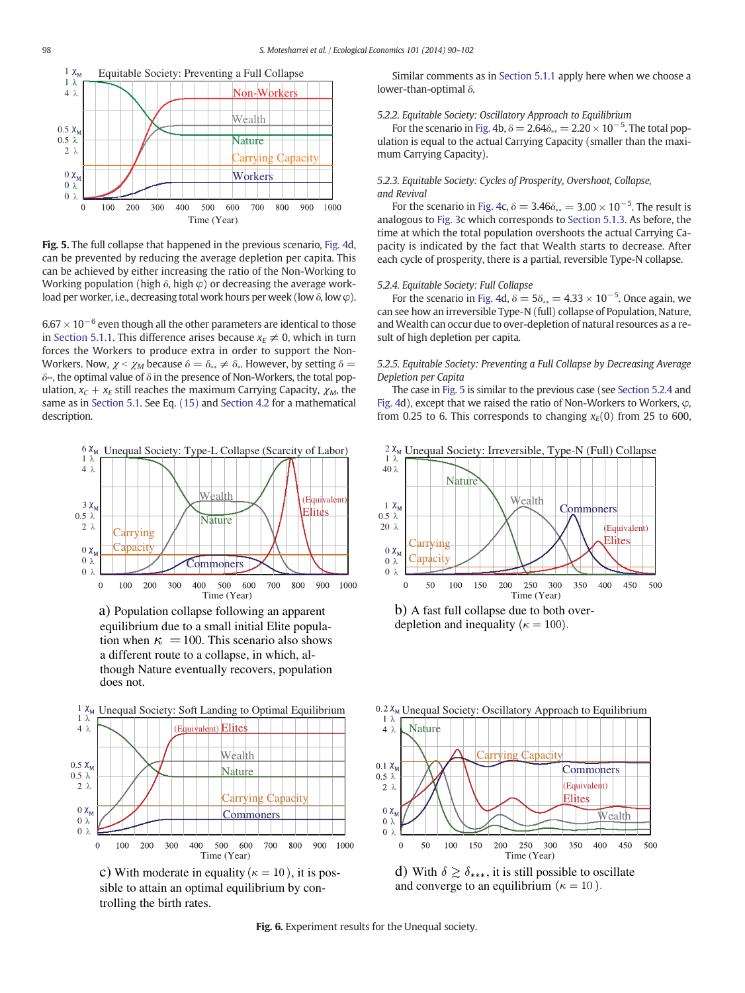<span id="page-8-0"></span>

Fig. 5. The full collapse that happened in the previous scenario, [Fig. 4](#page-7-0)d, can be prevented by reducing the average depletion per capita. This can be achieved by either increasing the ratio of the Non-Working to Working population (high  $\delta$ , high  $\varphi$ ) or decreasing the average workload per worker, i.e., decreasing total work hours per week (low  $\delta$ , low  $\varphi$ ).

 $6.67 \times 10^{-6}$  even though all the other parameters are identical to those in [Section 5.1.1](#page-6-0). This difference arises because  $x_F \neq 0$ , which in turn forces the Workers to produce extra in order to support the Non-Workers. Now,  $\gamma < \gamma_M$  because  $\delta = \delta_{**} \neq \delta_{**}$ . However, by setting  $\delta =$  $\delta$ \*\*, the optimal value of  $\delta$  in the presence of Non-Workers, the total population,  $x_c + x_F$  still reaches the maximum Carrying Capacity,  $\chi_M$ , the same as in [Section 5.1.](#page-6-0) See Eq. [\(15\)](#page-4-0) and [Section 4.2](#page-4-0) for a mathematical description.



a) Population collapse following an apparent equilibrium due to a small initial Elite population when  $\kappa = 100$ . This scenario also shows a different route to a collapse, in which, although Nature eventually recovers, population does not.



c) With moderate in equality ( $\kappa = 10$ ), it is possible to attain an optimal equilibrium by controlling the birth rates.

Similar comments as in [Section 5.1.1](#page-6-0) apply here when we choose a lower-than-optimal δ.

# 5.2.2. Equitable Society: Oscillatory Approach to Equilibrium

For the scenario in [Fig. 4](#page-7-0)b,  $\delta = 2.64\delta_{**} = 2.20 \times 10^{-5}$ . The total population is equal to the actual Carrying Capacity (smaller than the maximum Carrying Capacity).

# 5.2.3. Equitable Society: Cycles of Prosperity, Overshoot, Collapse, and Revival

For the scenario in [Fig. 4](#page-7-0)c,  $\delta = 3.46\delta_{**} = 3.00 \times 10^{-5}$ . The result is analogous to [Fig. 3](#page-6-0)c which corresponds to [Section 5.1.3.](#page-7-0) As before, the time at which the total population overshoots the actual Carrying Capacity is indicated by the fact that Wealth starts to decrease. After each cycle of prosperity, there is a partial, reversible Type-N collapse.

#### 5.2.4. Equitable Society: Full Collapse

For the scenario in [Fig. 4d](#page-7-0),  $\delta = 5\delta_{**} = 4.33 \times 10^{-5}$ . Once again, we can see how an irreversible Type-N (full) collapse of Population, Nature, and Wealth can occur due to over-depletion of natural resources as a result of high depletion per capita.

# 5.2.5. Equitable Society: Preventing a Full Collapse by Decreasing Average Depletion per Capita

The case in Fig. 5 is similar to the previous case (see Section 5.2.4 and [Fig. 4](#page-7-0)d), except that we raised the ratio of Non-Workers to Workers,  $\varphi$ , from 0.25 to 6. This corresponds to changing  $x_E(0)$  from 25 to 600,



depletion and inequality ( $\kappa = 100$ ).



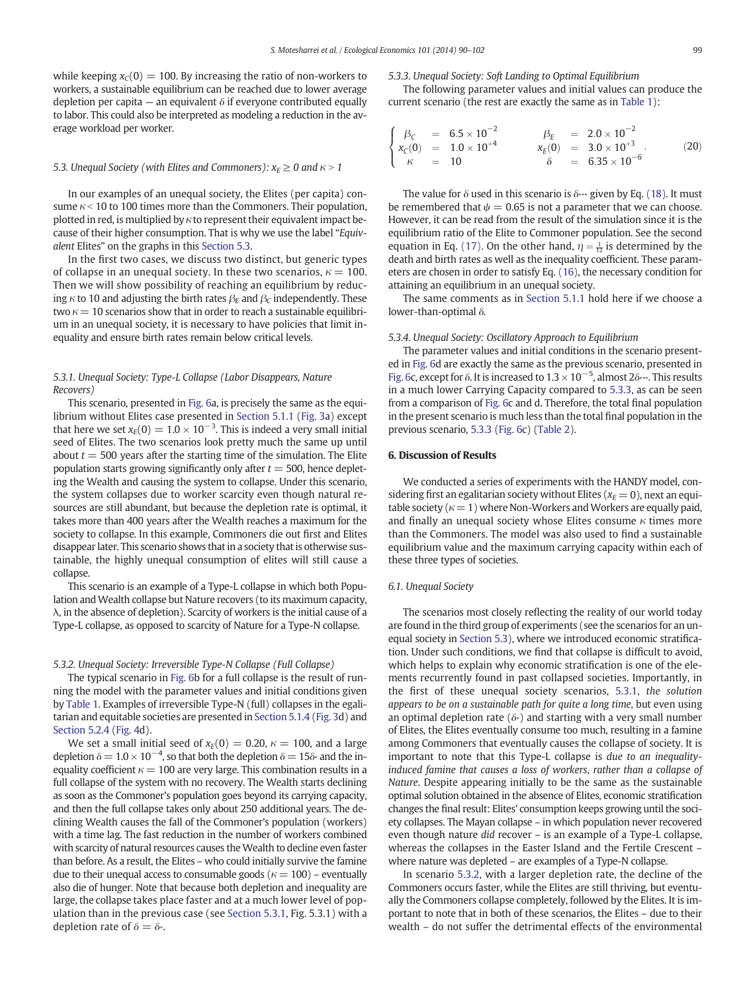<span id="page-9-0"></span>while keeping  $x<sub>C</sub>(0) = 100$ . By increasing the ratio of non-workers to workers, a sustainable equilibrium can be reached due to lower average depletion per capita — an equivalent  $\delta$  if everyone contributed equally to labor. This could also be interpreted as modeling a reduction in the average workload per worker.

# 5.3. Unequal Society (with Elites and Commoners):  $x_E \ge 0$  and  $\kappa > 1$

In our examples of an unequal society, the Elites (per capita) consume  $\kappa$  < 10 to 100 times more than the Commoners. Their population, plotted in red, is multiplied by  $\kappa$  to represent their equivalent impact because of their higher consumption. That is why we use the label "Equivalent Elites" on the graphs in this Section 5.3.

In the first two cases, we discuss two distinct, but generic types of collapse in an unequal society. In these two scenarios,  $\kappa = 100$ . Then we will show possibility of reaching an equilibrium by reducing  $\kappa$  to 10 and adjusting the birth rates  $\beta_F$  and  $\beta_C$  independently. These two  $\kappa = 10$  scenarios show that in order to reach a sustainable equilibrium in an unequal society, it is necessary to have policies that limit inequality and ensure birth rates remain below critical levels.

# 5.3.1. Unequal Society: Type-L Collapse (Labor Disappears, Nature Recovers)

This scenario, presented in [Fig. 6](#page-8-0)a, is precisely the same as the equilibrium without Elites case presented in [Section 5.1.1](#page-6-0) ([Fig. 3a](#page-6-0)) except that here we set  $x_E(0) = 1.0 \times 10^{-3}$ . This is indeed a very small initial seed of Elites. The two scenarios look pretty much the same up until about  $t = 500$  years after the starting time of the simulation. The Elite population starts growing significantly only after  $t = 500$ , hence depleting the Wealth and causing the system to collapse. Under this scenario, the system collapses due to worker scarcity even though natural resources are still abundant, but because the depletion rate is optimal, it takes more than 400 years after the Wealth reaches a maximum for the society to collapse. In this example, Commoners die out first and Elites disappear later. This scenario shows that in a society that is otherwise sustainable, the highly unequal consumption of elites will still cause a collapse.

This scenario is an example of a Type-L collapse in which both Population and Wealth collapse but Nature recovers (to its maximum capacity, λ, in the absence of depletion). Scarcity of workers is the initial cause of a Type-L collapse, as opposed to scarcity of Nature for a Type-N collapse.

#### 5.3.2. Unequal Society: Irreversible Type-N Collapse (Full Collapse)

The typical scenario in [Fig. 6](#page-8-0)b for a full collapse is the result of running the model with the parameter values and initial conditions given by [Table 1.](#page-5-0) Examples of irreversible Type-N (full) collapses in the egalitarian and equitable societies are presented in [Section 5.1.4](#page-7-0) ([Fig. 3d](#page-6-0)) and [Section 5.2.4](#page-8-0) ([Fig. 4d](#page-7-0)).

We set a small initial seed of  $x_E(0) = 0.20$ ,  $\kappa = 100$ , and a large depletion  $\delta = 1.0 \times 10^{-4}$ , so that both the depletion  $\delta = 15 \delta^*$  and the inequality coefficient  $\kappa = 100$  are very large. This combination results in a full collapse of the system with no recovery. The Wealth starts declining as soon as the Commoner's population goes beyond its carrying capacity, and then the full collapse takes only about 250 additional years. The declining Wealth causes the fall of the Commoner's population (workers) with a time lag. The fast reduction in the number of workers combined with scarcity of natural resources causes the Wealth to decline even faster than before. As a result, the Elites – who could initially survive the famine due to their unequal access to consumable goods ( $\kappa = 100$ ) – eventually also die of hunger. Note that because both depletion and inequality are large, the collapse takes place faster and at a much lower level of population than in the previous case (see Section 5.3.1, Fig. 5.3.1) with a depletion rate of  $\delta = \delta$ .

# 5.3.3. Unequal Society: Soft Landing to Optimal Equilibrium

The following parameter values and initial values can produce the current scenario (the rest are exactly the same as in [Table 1\)](#page-5-0):

$$
\begin{cases}\n\beta_C &= 6.5 \times 10^{-2} & \beta_E &= 2.0 \times 10^{-2} \\
x_C(0) &= 1.0 \times 10^{+4} & x_E(0) &= 3.0 \times 10^{+3} \\
\kappa &= 10 & \delta &= 6.35 \times 10^{-6}\n\end{cases}
$$
\n(20)

The value for  $\delta$  used in this scenario is  $\delta$ \*\*\* given by Eq. [\(18\).](#page-5-0) It must be remembered that  $\psi = 0.65$  is not a parameter that we can choose. However, it can be read from the result of the simulation since it is the equilibrium ratio of the Elite to Commoner population. See the second equation in Eq. [\(17\).](#page-5-0) On the other hand,  $\eta = \frac{1}{12}$  is determined by the death and birth rates as well as the inequality coefficient. These parameters are chosen in order to satisfy Eq. [\(16\)](#page-5-0), the necessary condition for attaining an equilibrium in an unequal society.

The same comments as in [Section 5.1.1](#page-6-0) hold here if we choose a lower-than-optimal δ.

# 5.3.4. Unequal Society: Oscillatory Approach to Equilibrium

The parameter values and initial conditions in the scenario presented in [Fig. 6](#page-8-0)d are exactly the same as the previous scenario, presented in [Fig. 6c](#page-8-0), except for  $\delta$ . It is increased to 1.3  $\times$  10 $^{-5}$ , almost 2 $\delta$ \*\*\*. This results in a much lower Carrying Capacity compared to 5.3.3, as can be seen from a comparison of [Fig. 6](#page-8-0)c and d. Therefore, the total final population in the present scenario is much less than the total final population in the previous scenario, 5.3.3 [\(Fig. 6c](#page-8-0)) [\(Table 2\)](#page-5-0).

# 6. Discussion of Results

We conducted a series of experiments with the HANDY model, considering first an egalitarian society without Elites ( $x_F = 0$ ), next an equitable society ( $\kappa = 1$ ) where Non-Workers and Workers are equally paid, and finally an unequal society whose Elites consume  $\kappa$  times more than the Commoners. The model was also used to find a sustainable equilibrium value and the maximum carrying capacity within each of these three types of societies.

# 6.1. Unequal Society

The scenarios most closely reflecting the reality of our world today are found in the third group of experiments (see the scenarios for an unequal society in Section 5.3), where we introduced economic stratification. Under such conditions, we find that collapse is difficult to avoid, which helps to explain why economic stratification is one of the elements recurrently found in past collapsed societies. Importantly, in the first of these unequal society scenarios, 5.3.1, the solution appears to be on a sustainable path for quite a long time, but even using an optimal depletion rate ( $\delta$ \*) and starting with a very small number of Elites, the Elites eventually consume too much, resulting in a famine among Commoners that eventually causes the collapse of society. It is important to note that this Type-L collapse is due to an inequalityinduced famine that causes a loss of workers, rather than a collapse of Nature. Despite appearing initially to be the same as the sustainable optimal solution obtained in the absence of Elites, economic stratification changes the final result: Elites' consumption keeps growing until the society collapses. The Mayan collapse – in which population never recovered even though nature did recover – is an example of a Type-L collapse, whereas the collapses in the Easter Island and the Fertile Crescent – where nature was depleted – are examples of a Type-N collapse.

In scenario 5.3.2, with a larger depletion rate, the decline of the Commoners occurs faster, while the Elites are still thriving, but eventually the Commoners collapse completely, followed by the Elites. It is important to note that in both of these scenarios, the Elites – due to their wealth – do not suffer the detrimental effects of the environmental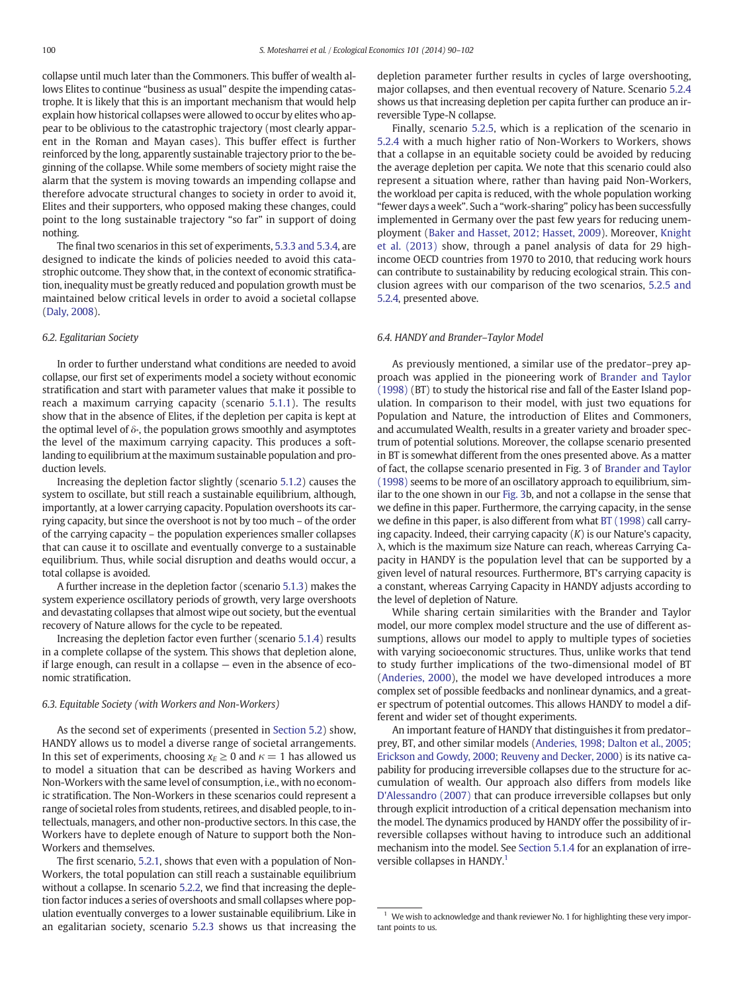<span id="page-10-0"></span>collapse until much later than the Commoners. This buffer of wealth allows Elites to continue "business as usual" despite the impending catastrophe. It is likely that this is an important mechanism that would help explain how historical collapses were allowed to occur by elites who appear to be oblivious to the catastrophic trajectory (most clearly apparent in the Roman and Mayan cases). This buffer effect is further reinforced by the long, apparently sustainable trajectory prior to the beginning of the collapse. While some members of society might raise the alarm that the system is moving towards an impending collapse and therefore advocate structural changes to society in order to avoid it, Elites and their supporters, who opposed making these changes, could point to the long sustainable trajectory "so far" in support of doing nothing.

The final two scenarios in this set of experiments, [5.3.3 and 5.3.4](#page-9-0), are designed to indicate the kinds of policies needed to avoid this catastrophic outcome. They show that, in the context of economic stratification, inequality must be greatly reduced and population growth must be maintained below critical levels in order to avoid a societal collapse [\(Daly, 2008\)](#page-11-0).

#### 6.2. Egalitarian Society

In order to further understand what conditions are needed to avoid collapse, our first set of experiments model a society without economic stratification and start with parameter values that make it possible to reach a maximum carrying capacity (scenario [5.1.1](#page-6-0)). The results show that in the absence of Elites, if the depletion per capita is kept at the optimal level of  $\delta$ <sup>\*</sup>, the population grows smoothly and asymptotes the level of the maximum carrying capacity. This produces a softlanding to equilibrium at the maximum sustainable population and production levels.

Increasing the depletion factor slightly (scenario [5.1.2](#page-7-0)) causes the system to oscillate, but still reach a sustainable equilibrium, although, importantly, at a lower carrying capacity. Population overshoots its carrying capacity, but since the overshoot is not by too much – of the order of the carrying capacity – the population experiences smaller collapses that can cause it to oscillate and eventually converge to a sustainable equilibrium. Thus, while social disruption and deaths would occur, a total collapse is avoided.

A further increase in the depletion factor (scenario [5.1.3\)](#page-7-0) makes the system experience oscillatory periods of growth, very large overshoots and devastating collapses that almost wipe out society, but the eventual recovery of Nature allows for the cycle to be repeated.

Increasing the depletion factor even further (scenario [5.1.4](#page-7-0)) results in a complete collapse of the system. This shows that depletion alone, if large enough, can result in a collapse — even in the absence of economic stratification.

# 6.3. Equitable Society (with Workers and Non-Workers)

As the second set of experiments (presented in [Section 5.2\)](#page-7-0) show, HANDY allows us to model a diverse range of societal arrangements. In this set of experiments, choosing  $x_E \geq 0$  and  $\kappa = 1$  has allowed us to model a situation that can be described as having Workers and Non-Workers with the same level of consumption, i.e., with no economic stratification. The Non-Workers in these scenarios could represent a range of societal roles from students, retirees, and disabled people, to intellectuals, managers, and other non-productive sectors. In this case, the Workers have to deplete enough of Nature to support both the Non-Workers and themselves.

The first scenario, [5.2.1,](#page-7-0) shows that even with a population of Non-Workers, the total population can still reach a sustainable equilibrium without a collapse. In scenario [5.2.2](#page-8-0), we find that increasing the depletion factor induces a series of overshoots and small collapses where population eventually converges to a lower sustainable equilibrium. Like in an egalitarian society, scenario [5.2.3](#page-8-0) shows us that increasing the depletion parameter further results in cycles of large overshooting, major collapses, and then eventual recovery of Nature. Scenario [5.2.4](#page-8-0) shows us that increasing depletion per capita further can produce an irreversible Type-N collapse.

Finally, scenario [5.2.5,](#page-8-0) which is a replication of the scenario in [5.2.4](#page-8-0) with a much higher ratio of Non-Workers to Workers, shows that a collapse in an equitable society could be avoided by reducing the average depletion per capita. We note that this scenario could also represent a situation where, rather than having paid Non-Workers, the workload per capita is reduced, with the whole population working "fewer days a week". Such a "work-sharing" policy has been successfully implemented in Germany over the past few years for reducing unemployment ([Baker and Hasset, 2012; Hasset, 2009\)](#page-11-0). Moreover, [Knight](#page-12-0) [et al. \(2013\)](#page-12-0) show, through a panel analysis of data for 29 highincome OECD countries from 1970 to 2010, that reducing work hours can contribute to sustainability by reducing ecological strain. This conclusion agrees with our comparison of the two scenarios, [5.2.5 and](#page-8-0) [5.2.4,](#page-8-0) presented above.

#### 6.4. HANDY and Brander–Taylor Model

As previously mentioned, a similar use of the predator–prey approach was applied in the pioneering work of [Brander and Taylor](#page-11-0) [\(1998\)](#page-11-0) (BT) to study the historical rise and fall of the Easter Island population. In comparison to their model, with just two equations for Population and Nature, the introduction of Elites and Commoners, and accumulated Wealth, results in a greater variety and broader spectrum of potential solutions. Moreover, the collapse scenario presented in BT is somewhat different from the ones presented above. As a matter of fact, the collapse scenario presented in Fig. 3 of [Brander and Taylor](#page-11-0) [\(1998\)](#page-11-0) seems to be more of an oscillatory approach to equilibrium, similar to the one shown in our [Fig. 3b](#page-6-0), and not a collapse in the sense that we define in this paper. Furthermore, the carrying capacity, in the sense we define in this paper, is also different from what [BT \(1998\)](#page-11-0) call carrying capacity. Indeed, their carrying capacity (K) is our Nature's capacity, λ, which is the maximum size Nature can reach, whereas Carrying Capacity in HANDY is the population level that can be supported by a given level of natural resources. Furthermore, BT's carrying capacity is a constant, whereas Carrying Capacity in HANDY adjusts according to the level of depletion of Nature.

While sharing certain similarities with the Brander and Taylor model, our more complex model structure and the use of different assumptions, allows our model to apply to multiple types of societies with varying socioeconomic structures. Thus, unlike works that tend to study further implications of the two-dimensional model of BT [\(Anderies, 2000\)](#page-11-0), the model we have developed introduces a more complex set of possible feedbacks and nonlinear dynamics, and a greater spectrum of potential outcomes. This allows HANDY to model a different and wider set of thought experiments.

An important feature of HANDY that distinguishes it from predator– prey, BT, and other similar models [\(Anderies, 1998; Dalton et al., 2005;](#page-11-0) [Erickson and Gowdy, 2000; Reuveny and Decker, 2000\)](#page-11-0) is its native capability for producing irreversible collapses due to the structure for accumulation of wealth. Our approach also differs from models like [D'Alessandro \(2007\)](#page-11-0) that can produce irreversible collapses but only through explicit introduction of a critical depensation mechanism into the model. The dynamics produced by HANDY offer the possibility of irreversible collapses without having to introduce such an additional mechanism into the model. See [Section 5.1.4](#page-7-0) for an explanation of irreversible collapses in HANDY.<sup>1</sup>

 $1$  We wish to acknowledge and thank reviewer No. 1 for highlighting these very important points to us.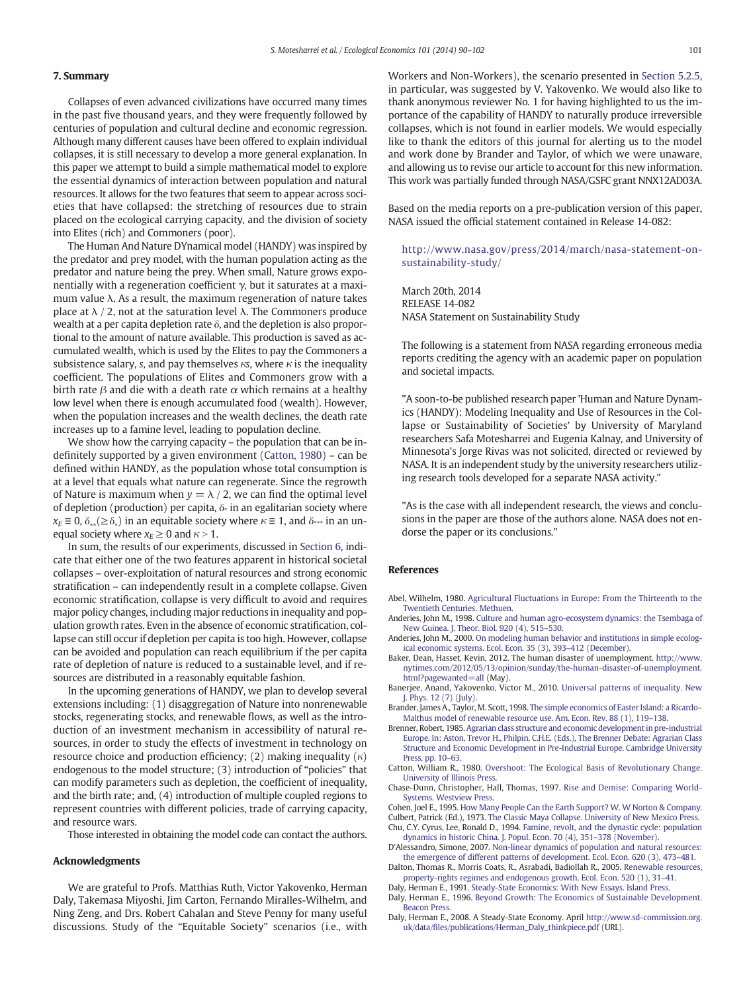# <span id="page-11-0"></span>7. Summary

Collapses of even advanced civilizations have occurred many times in the past five thousand years, and they were frequently followed by centuries of population and cultural decline and economic regression. Although many different causes have been offered to explain individual collapses, it is still necessary to develop a more general explanation. In this paper we attempt to build a simple mathematical model to explore the essential dynamics of interaction between population and natural resources. It allows for the two features that seem to appear across societies that have collapsed: the stretching of resources due to strain placed on the ecological carrying capacity, and the division of society into Elites (rich) and Commoners (poor).

The Human And Nature DYnamical model (HANDY) was inspired by the predator and prey model, with the human population acting as the predator and nature being the prey. When small, Nature grows exponentially with a regeneration coefficient  $γ$ , but it saturates at a maximum value  $\lambda$ . As a result, the maximum regeneration of nature takes place at  $\lambda$  / 2, not at the saturation level λ. The Commoners produce wealth at a per capita depletion rate  $\delta$ , and the depletion is also proportional to the amount of nature available. This production is saved as accumulated wealth, which is used by the Elites to pay the Commoners a subsistence salary, s, and pay themselves  $\kappa s$ , where  $\kappa$  is the inequality coefficient. The populations of Elites and Commoners grow with a birth rate  $\beta$  and die with a death rate  $\alpha$  which remains at a healthy low level when there is enough accumulated food (wealth). However, when the population increases and the wealth declines, the death rate increases up to a famine level, leading to population decline.

We show how the carrying capacity – the population that can be indefinitely supported by a given environment (Catton, 1980) – can be defined within HANDY, as the population whose total consumption is at a level that equals what nature can regenerate. Since the regrowth of Nature is maximum when  $y = \lambda / 2$ , we can find the optimal level of depletion (production) per capita,  $\delta$  in an egalitarian society where  $x_E \equiv 0$ ,  $\delta_{**}(\geq \delta_*)$  in an equitable society where  $\kappa \equiv 1$ , and  $\delta_{***}$  in an unequal society where  $x_E \geq 0$  and  $\kappa > 1$ .

In sum, the results of our experiments, discussed in [Section 6,](#page-9-0) indicate that either one of the two features apparent in historical societal collapses – over-exploitation of natural resources and strong economic stratification – can independently result in a complete collapse. Given economic stratification, collapse is very difficult to avoid and requires major policy changes, including major reductions in inequality and population growth rates. Even in the absence of economic stratification, collapse can still occur if depletion per capita is too high. However, collapse can be avoided and population can reach equilibrium if the per capita rate of depletion of nature is reduced to a sustainable level, and if resources are distributed in a reasonably equitable fashion.

In the upcoming generations of HANDY, we plan to develop several extensions including: (1) disaggregation of Nature into nonrenewable stocks, regenerating stocks, and renewable flows, as well as the introduction of an investment mechanism in accessibility of natural resources, in order to study the effects of investment in technology on resource choice and production efficiency; (2) making inequality  $(\kappa)$ endogenous to the model structure; (3) introduction of "policies" that can modify parameters such as depletion, the coefficient of inequality, and the birth rate; and, (4) introduction of multiple coupled regions to represent countries with different policies, trade of carrying capacity, and resource wars.

Those interested in obtaining the model code can contact the authors.

# Acknowledgments

We are grateful to Profs. Matthias Ruth, Victor Yakovenko, Herman Daly, Takemasa Miyoshi, Jim Carton, Fernando Miralles-Wilhelm, and Ning Zeng, and Drs. Robert Cahalan and Steve Penny for many useful discussions. Study of the "Equitable Society" scenarios (i.e., with Workers and Non-Workers), the scenario presented in [Section 5.2.5,](#page-8-0) in particular, was suggested by V. Yakovenko. We would also like to thank anonymous reviewer No. 1 for having highlighted to us the importance of the capability of HANDY to naturally produce irreversible collapses, which is not found in earlier models. We would especially like to thank the editors of this journal for alerting us to the model and work done by Brander and Taylor, of which we were unaware, and allowing us to revise our article to account for this new information. This work was partially funded through NASA/GSFC grant NNX12AD03A.

Based on the media reports on a pre-publication version of this paper, NASA issued the official statement contained in Release 14-082:

[http://www.nasa.gov/press/2014/march/nasa-statement-on](http://www.nasa.gov/press/2014/march/nasa-statement-on-sustainability-study/)[sustainability-study/](http://www.nasa.gov/press/2014/march/nasa-statement-on-sustainability-study/)

March 20th, 2014 RELEASE 14-082 NASA Statement on Sustainability Study

The following is a statement from NASA regarding erroneous media reports crediting the agency with an academic paper on population and societal impacts.

"A soon-to-be published research paper 'Human and Nature Dynamics (HANDY): Modeling Inequality and Use of Resources in the Collapse or Sustainability of Societies' by University of Maryland researchers Safa Motesharrei and Eugenia Kalnay, and University of Minnesota's Jorge Rivas was not solicited, directed or reviewed by NASA. It is an independent study by the university researchers utilizing research tools developed for a separate NASA activity."

"As is the case with all independent research, the views and conclusions in the paper are those of the authors alone. NASA does not endorse the paper or its conclusions."

# References

- Abel, Wilhelm, 1980. [Agricultural Fluctuations in Europe: From the Thirteenth to the](http://refhub.elsevier.com/S0921-8009(14)00061-5/rf0005) [Twentieth Centuries. Methuen](http://refhub.elsevier.com/S0921-8009(14)00061-5/rf0005).
- Anderies, John M., 1998. [Culture and human agro-ecosystem dynamics: the Tsembaga of](http://refhub.elsevier.com/S0921-8009(14)00061-5/rf0185) [New Guinea. J. Theor. Biol. 920 \(4\), 515](http://refhub.elsevier.com/S0921-8009(14)00061-5/rf0185)–530.
- Anderies, John M., 2000. [On modeling human behavior and institutions in simple ecolog](http://refhub.elsevier.com/S0921-8009(14)00061-5/rf0190)[ical economic systems. Ecol. Econ. 35 \(3\), 393](http://refhub.elsevier.com/S0921-8009(14)00061-5/rf0190)–412 (December).
- Baker, Dean, Hasset, Kevin, 2012. The human disaster of unemployment. [http://www.](http://www.nytimes.com/2012/05/13/opinion/sunday/the-human-disaster-of-unemployment.html?pagewanted=all) [nytimes.com/2012/05/13/opinion/sunday/the-human-disaster-of-unemployment.](http://www.nytimes.com/2012/05/13/opinion/sunday/the-human-disaster-of-unemployment.html?pagewanted=all) [html?pagewanted=all](http://www.nytimes.com/2012/05/13/opinion/sunday/the-human-disaster-of-unemployment.html?pagewanted=all) (May).
- Banerjee, Anand, Yakovenko, Victor M., 2010. [Universal patterns of inequality. New](http://refhub.elsevier.com/S0921-8009(14)00061-5/rf0200) [J. Phys. 12 \(7\) \(July\)](http://refhub.elsevier.com/S0921-8009(14)00061-5/rf0200).
- Brander, James A., Taylor, M. Scott, 1998. [The simple economics of Easter Island: a Ricardo](http://refhub.elsevier.com/S0921-8009(14)00061-5/rf0205) [Malthus model of renewable resource use. Am. Econ. Rev. 88 \(1\), 119](http://refhub.elsevier.com/S0921-8009(14)00061-5/rf0205)–138.
- Brenner, Robert, 1985. [Agrarian class structure and economic development in pre-industrial](http://refhub.elsevier.com/S0921-8009(14)00061-5/rf0210) [Europe. In: Aston, Trevor H., Philpin, C.H.E. \(Eds.\), The Brenner Debate: Agrarian Class](http://refhub.elsevier.com/S0921-8009(14)00061-5/rf0210) [Structure and Economic Development in Pre-Industrial Europe. Cambridge University](http://refhub.elsevier.com/S0921-8009(14)00061-5/rf0210) [Press, pp. 10](http://refhub.elsevier.com/S0921-8009(14)00061-5/rf0210)–63.
- Catton, William R., 1980. [Overshoot: The Ecological Basis of Revolutionary Change.](http://refhub.elsevier.com/S0921-8009(14)00061-5/rf0010) [University of Illinois Press](http://refhub.elsevier.com/S0921-8009(14)00061-5/rf0010).
- Chase-Dunn, Christopher, Hall, Thomas, 1997. [Rise and Demise: Comparing World-](http://refhub.elsevier.com/S0921-8009(14)00061-5/rf0015)[Systems. Westview Press.](http://refhub.elsevier.com/S0921-8009(14)00061-5/rf0015)

Cohen, Joel E., 1995. [How Many People Can the Earth Support? W. W Norton & Company](http://refhub.elsevier.com/S0921-8009(14)00061-5/rf0020). Culbert, Patrick (Ed.), 1973. [The Classic Maya Collapse. University of New Mexico Press.](http://refhub.elsevier.com/S0921-8009(14)00061-5/rf0215) Chu, C.Y. Cyrus, Lee, Ronald D., 1994. [Famine, revolt, and the dynastic cycle: population](http://refhub.elsevier.com/S0921-8009(14)00061-5/rf0220)

- [dynamics in historic China. J. Popul. Econ. 70 \(4\), 351](http://refhub.elsevier.com/S0921-8009(14)00061-5/rf0220)–378 (November). D'Alessandro, Simone, 2007. [Non-linear dynamics of population and natural resources:](http://refhub.elsevier.com/S0921-8009(14)00061-5/rf0225)
- [the emergence of different patterns of development. Ecol. Econ. 620 \(3\), 473](http://refhub.elsevier.com/S0921-8009(14)00061-5/rf0225)–481. Dalton, Thomas R., Morris Coats, R., Asrabadi, Badiollah R., 2005. [Renewable resources,](http://refhub.elsevier.com/S0921-8009(14)00061-5/rf0230)
- [property-rights regimes and endogenous growth. Ecol. Econ. 520 \(1\), 31](http://refhub.elsevier.com/S0921-8009(14)00061-5/rf0230)–41. Daly, Herman E., 1991. [Steady-State Economics: With New Essays. Island Press.](http://refhub.elsevier.com/S0921-8009(14)00061-5/rf0235)
- Daly, Herman E., 1996. [Beyond Growth: The Economics of Sustainable Development.](http://refhub.elsevier.com/S0921-8009(14)00061-5/rf0025) [Beacon Press](http://refhub.elsevier.com/S0921-8009(14)00061-5/rf0025).
- Daly, Herman E., 2008. A Steady-State Economy. April [http://www.sd-commission.org.](http://www.sd-commission.org.uk/data/files/publications/Herman_Daly_thinkpiece.pdf) uk/data/fi[les/publications/Herman\\_Daly\\_thinkpiece.pdf](http://www.sd-commission.org.uk/data/files/publications/Herman_Daly_thinkpiece.pdf) (URL).